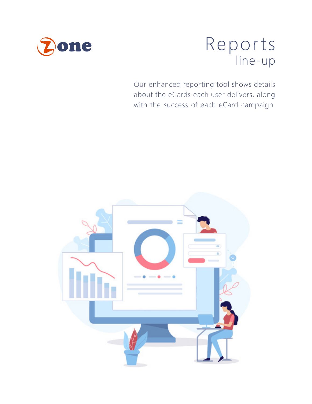

# Reports line-up

Our enhanced reporting tool shows details about the eCards each user delivers, along with the success of each eCard campaign.

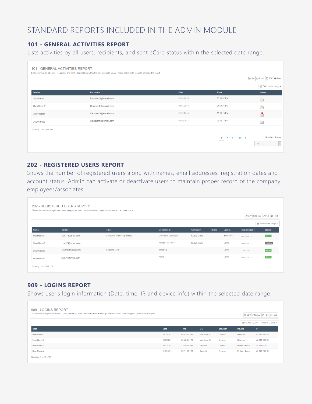## STANDARD REPORTS INCLUDED IN THE ADMIN MODULE

#### **101 - GENERAL ACTIVITIES REPORT**

Lists activities by all users, recipients, and sent eCard status within the selected date range.

| <b>101 - GENERAL ACTIVITIES REPORT</b> | Lists activities by all users, recipients, and sent e-Card status within the selected date range. Please select date range to generate the report. |            |                                                   | <b>Ø CSV Ø Email Ø PDF &amp; Print</b>    |
|----------------------------------------|----------------------------------------------------------------------------------------------------------------------------------------------------|------------|---------------------------------------------------|-------------------------------------------|
| Sender                                 | Recipient                                                                                                                                          | Date       | Time                                              | tm Select date range +<br><b>Status</b>   |
| UserName1                              | Recipient1@email.com                                                                                                                               | 02/04/2018 | 07:54:52 PM                                       | 具                                         |
| UserName2                              | Recipient2@email.com                                                                                                                               | 02/04/2018 | 07:53:16 PM                                       | 鳧                                         |
| UserName1                              | Recipient2@email.com                                                                                                                               | 02/02/2018 | 09:01:13 PM                                       | $\bullet$                                 |
| UserName3                              | Recipient1@email.com                                                                                                                               | 02/02/2018 | 09:01:13 PM                                       | X                                         |
| Showing: 1 to 10 of 228                |                                                                                                                                                    |            |                                                   |                                           |
|                                        |                                                                                                                                                    |            | $1 \t2 \t3 \t \t23$ ><br><b>Contract Contract</b> | Number of rows<br>$\vert\downarrow$<br>10 |

#### **202 - REGISTERED USERS REPORT**

Shows the number of registered users along with names, email addresses, registration dates and account status. Admin can activate or deactivate users to maintain proper record of the company employees/associates.

|                         | <b>202 - REGISTERED USERS REPORT</b> | Shows the number of registered users along with names, email addresses, registration dates and account status. |                        |                          |       |                   |                          | <b>R</b> CSV   図 Email   四 PDF   A Print |
|-------------------------|--------------------------------------|----------------------------------------------------------------------------------------------------------------|------------------------|--------------------------|-------|-------------------|--------------------------|------------------------------------------|
|                         |                                      |                                                                                                                |                        |                          |       |                   |                          | tm Select date range →                   |
| Name $\triangle$        | Email $\triangle$                    | Title $\triangle$                                                                                              | <b>Department</b>      | Company $\blacktriangle$ | Phone | Group $\triangle$ | Registration $\triangle$ | Status $\triangle$                       |
| <b>UserName1</b>        | User1@email.com                      | <b>Associate Marketing Manager</b>                                                                             | Decorative Calendars   | Curve Corp.              |       | Executives        | 04/26/2013               | Active                                   |
| UserName2               | User2@email.com                      |                                                                                                                | <b>Human Resources</b> | Curve Corp.              |       | <b>Users</b>      | 05/09/2012               | Inactive                                 |
| UserName3               | User3@email.com                      | <b>Shipping Clerk</b>                                                                                          | Shipping               |                          |       | <b>Users</b>      | 12/01/2011               | Active                                   |
| UserName4               | User4@email.com                      |                                                                                                                | <b>HRSS</b>            |                          |       | <b>Users</b>      | 01/03/2012               | Active                                   |
| Showing: 1 to 10 of 228 |                                      |                                                                                                                |                        |                          |       |                   |                          |                                          |

#### **909 - LOGINS REPORT**

Shows user's login information (Date, time, IP, and device info) within the selected date range.

| 909 - LOGINS REPORT<br>Shows user's login information (Date and time) within the selected date range. Please select date range to generate the report. |            |             |            |                |               | <b>Ø CSV ØEmail Ø PDF &amp; Print</b>        |
|--------------------------------------------------------------------------------------------------------------------------------------------------------|------------|-------------|------------|----------------|---------------|----------------------------------------------|
| User                                                                                                                                                   | Date       | Time        | <b>OS</b>  | <b>Browser</b> | <b>Device</b> | mm October 1, 2017 - January 1, 2018 -<br>IP |
| User Name 1                                                                                                                                            | 12/23/2017 | 05:53:12 PM | Windows 10 | Chrome         | Desktop       | 72.141.241.31                                |
| User Name 2                                                                                                                                            | 12/23/2017 | 05:52:19 PM | Windows 10 | Chrome         | Desktop       | 72.141.241.31                                |
| User Name 3                                                                                                                                            | 12/13/2017 | 12:10:26 PM | Android    | Chrome         | Mobile Phone  | 24.114.64.97                                 |
| User Name 4                                                                                                                                            | 11/22/2017 | 09:31:01 PM | Android    | Chrome         | Mobile Phone  | 72.141.241.31                                |
| Showing: 1 to 10 of 63                                                                                                                                 |            |             |            |                |               |                                              |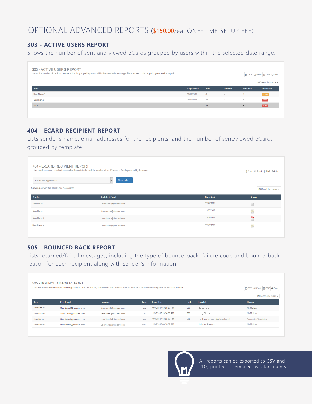### OPTIONAL ADVANCED REPORTS (\$150.00/ea. ONE-TIME SETUP FEE)

#### **303 - ACTIVE USERS REPORT**

Shows the number of sent and viewed eCards grouped by users within the selected date range.

| 303 - ACTIVE USERS REPORT<br>Shows the number of sent and viewed e-Cards grouped by users within the selected date range. Please select date range to generate the report. |              |      |               |                | <b>Ø CSV ØEmail Ø PDF &amp; Print</b> |
|----------------------------------------------------------------------------------------------------------------------------------------------------------------------------|--------------|------|---------------|----------------|---------------------------------------|
|                                                                                                                                                                            |              |      |               |                | m Select date range +                 |
| Name                                                                                                                                                                       | Registration | Sent | <b>Viewed</b> | <b>Bounced</b> | <b>View Rate</b>                      |
| User Name 1                                                                                                                                                                | 09/12/2017   | 6    |               |                | 66.67%                                |
| User Name 4                                                                                                                                                                | 09/07/2017   | 12   |               | 8              | 8.33%                                 |
| Total                                                                                                                                                                      |              | 18   | 5.            | 9              | 37.5%                                 |
|                                                                                                                                                                            |              |      |               |                |                                       |

#### **404 - ECARD RECIPIENT REPORT**

Lists sender 's name, email addresses for the recipients, and the number of sent/viewed eCards grouped by template.

| 404 - E-CARD RECIPIENT REPORT<br><b>Thanks and Appreciation</b> | Lists sender's name, email addresses for the recipients, and the number of sent/viewed e-Cards grouped by template.<br>Show activity<br>$\vee$ |            | <b>R</b> CSV <b>ØEmail A</b> PDF <b>A</b> Print |
|-----------------------------------------------------------------|------------------------------------------------------------------------------------------------------------------------------------------------|------------|-------------------------------------------------|
| Showing activity for: Thanks and Appreciation                   |                                                                                                                                                |            | the Select date range $\star$                   |
| Sender                                                          | <b>Recipient Email</b>                                                                                                                         | Date Sent  | <b>Status</b>                                   |
| User Name 1                                                     | UserName1@viaecard.com                                                                                                                         | 11/05/2017 | X                                               |
| User Name 4                                                     | UserName4@viaecard.com                                                                                                                         | 11/05/2017 | 鳧                                               |
| User Name 3                                                     | UserName1@viaecard.com                                                                                                                         | 11/05/2017 | $\bullet$                                       |
| User Name 4                                                     | UserName4@viaecard.com                                                                                                                         | 11/04/2017 | 鳧                                               |
|                                                                 |                                                                                                                                                |            |                                                 |

#### **505 - BOUNCED BACK REPORT**

Lists returned/failed messages, including the type of bounce-back, failure code and bounce-back reason for each recipient along with sender 's information.

| 505 - BOUNCED BACK REPORT<br>Lists returned/failed messages including the type of bounce-back, failure code, and bounce-back reason for each recipient along with sender's information. |                        |                        |             |                        |      |                                    | G Email <b>B</b> PDF <b>A</b> Print<br><b>R</b> CSV |
|-----------------------------------------------------------------------------------------------------------------------------------------------------------------------------------------|------------------------|------------------------|-------------|------------------------|------|------------------------------------|-----------------------------------------------------|
| <b>User</b>                                                                                                                                                                             | <b>User E-mail</b>     | Recipient              | <b>Type</b> | Date/Time              | Code | Template                           | m Select date range +<br>Reason                     |
| User Name 1                                                                                                                                                                             | UserName1@viaecard.com | UserName3@viaecard.com | Hard        | 11/06/2017 10:25:57 PM | 550  | Happy Holidays                     | No Mailbox                                          |
| User Name 4                                                                                                                                                                             | UserName4@viaecard.com | UserName2@viaecard.com | Hard        | 11/06/2017 10:26:00 PM | 550  | Merry Christmas                    | No Mailbox                                          |
| User Name 1                                                                                                                                                                             | UserName1@viaecard.com | UserName3@viaecard.com | Hard        | 11/06/2017 10:25:53 PM | 550  | Thank You for Everyday Excellence! | <b>Connection Terminated</b>                        |
| User Name 4                                                                                                                                                                             | UserName4@viaecard.com | UserName2@viaecard.com | Hard        | 11/05/2017 09:29:07 PM |      | <b>Model for Success</b>           | No Mailbox                                          |
|                                                                                                                                                                                         |                        |                        |             |                        |      |                                    |                                                     |



All reports can be exported to CSV and PDF, printed, or emailed as attachments.